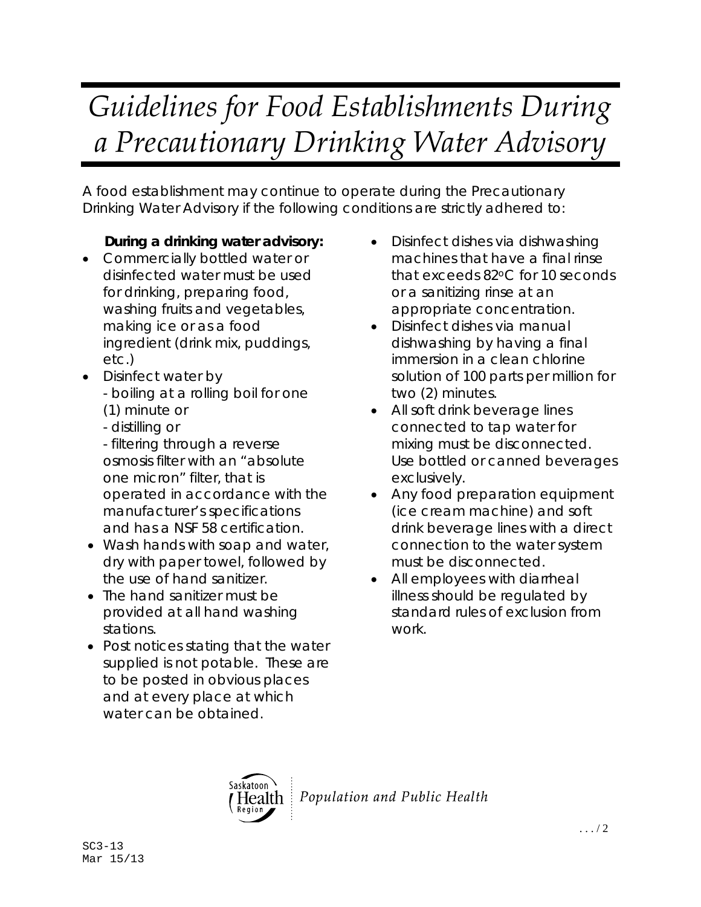## *Guidelines for Food Establishments During a Precautionary Drinking Water Advisory*

A food establishment may continue to operate during the Precautionary Drinking Water Advisory if the following conditions are strictly adhered to:

## **During a drinking water advisory:**

- Commercially bottled water or disinfected water must be used for drinking, preparing food, washing fruits and vegetables, making ice or as a food ingredient (drink mix, puddings, etc.)
- Disinfect water by - boiling at a rolling boil for one (1) minute or
	- distilling or

 - filtering through a reverse osmosis filter with an "absolute one micron" filter, that is operated in accordance with the manufacturer's specifications and has a NSF 58 certification.

- Wash hands with soap and water, dry with paper towel, followed by the use of hand sanitizer.
- The hand sanitizer must be provided at all hand washing stations.
- Post notices stating that the water supplied is not potable. These are to be posted in obvious places and at every place at which water can be obtained.
- Disinfect dishes via dishwashing machines that have a final rinse that exceeds 82oC for 10 seconds or a sanitizing rinse at an appropriate concentration.
- Disinfect dishes via manual dishwashing by having a final immersion in a clean chlorine solution of 100 parts per million for two (2) minutes.
- All soft drink beverage lines connected to tap water for mixing must be disconnected. Use bottled or canned beverages exclusively.
- Any food preparation equipment (ice cream machine) and soft drink beverage lines with a direct connection to the water system must be disconnected.
- All employees with diarrheal illness should be regulated by standard rules of exclusion from work.